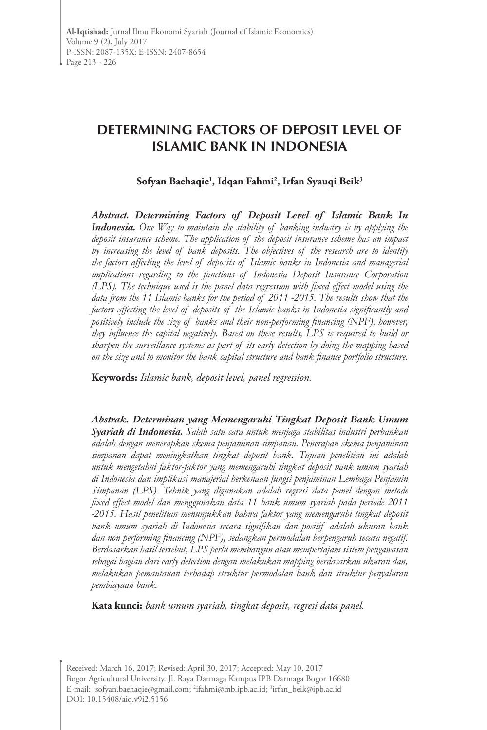# **DETERMINING FACTORS OF DEPOSIT LEVEL OF ISLAMIC BANK IN INDONESIA**

#### **Sofyan Baehaqie1 , Idqan Fahmi2 , Irfan Syauqi Beik3**

*Abstract. Determining Factors of Deposit Level of Islamic Bank In Indonesia. One Way to maintain the stability of banking industry is by applying the deposit insurance scheme. The application of the deposit insurance scheme has an impact by increasing the level of bank deposits. The objectives of the research are to identify the factors affecting the level of deposits of Islamic banks in Indonesia and managerial implications regarding to the functions of Indonesia Deposit Insurance Corporation (LPS). The technique used is the panel data regression with fixed effect model using the data from the 11 Islamic banks for the period of 2011 -2015. The results show that the factors affecting the level of deposits of the Islamic banks in Indonesia significantly and positively include the size of banks and their non-performing financing (NPF); however, they influence the capital negatively. Based on these results, LPS is required to build or sharpen the surveillance systems as part of its early detection by doing the mapping based on the size and to monitor the bank capital structure and bank finance portfolio structure.*

**Keywords:** *Islamic bank, deposit level, panel regression.*

*Abstrak. Determinan yang Memengaruhi Tingkat Deposit Bank Umum Syariah di Indonesia. Salah satu cara untuk menjaga stabilitas industri perbankan adalah dengan menerapkan skema penjaminan simpanan. Penerapan skema penjaminan simpanan dapat meningkatkan tingkat deposit bank. Tujuan penelitian ini adalah untuk mengetahui faktor-faktor yang memengaruhi tingkat deposit bank umum syariah di Indonesia dan implikasi manajerial berkenaan fungsi penjaminan Lembaga Penjamin Simpanan (LPS). Tehnik yang digunakan adalah regresi data panel dengan metode fixed effect model dan menggunakan data 11 bank umum syariah pada periode 2011 -2015. Hasil penelitian menunjukkan bahwa faktor yang memengaruhi tingkat deposit bank umum syariah di Indonesia secara signifikan dan positif adalah ukuran bank dan non performing financing (NPF), sedangkan permodalan berpengaruh secara negatif. Berdasarkan hasil tersebut, LPS perlu membangun atau mempertajam sistem pengawasan sebagai bagian dari early detection dengan melakukan mapping berdasarkan ukuran dan, melakukan pemantauan terhadap struktur permodalan bank dan struktur penyaluran pembiayaan bank.* 

**Kata kunci:** *bank umum syariah, tingkat deposit, regresi data panel.*

Received: March 16, 2017; Revised: April 30, 2017; Accepted: May 10, 2017 Bogor Agricultural University. Jl. Raya Darmaga Kampus IPB Darmaga Bogor 16680 E-mail: 'sofyan.baehaqie@gmail.com; <sup>2</sup>ifahmi@mb.ipb.ac.id; <sup>3</sup>irfan\_beik@ipb.ac.id DOI: 10.15408/aiq.v9i2.5156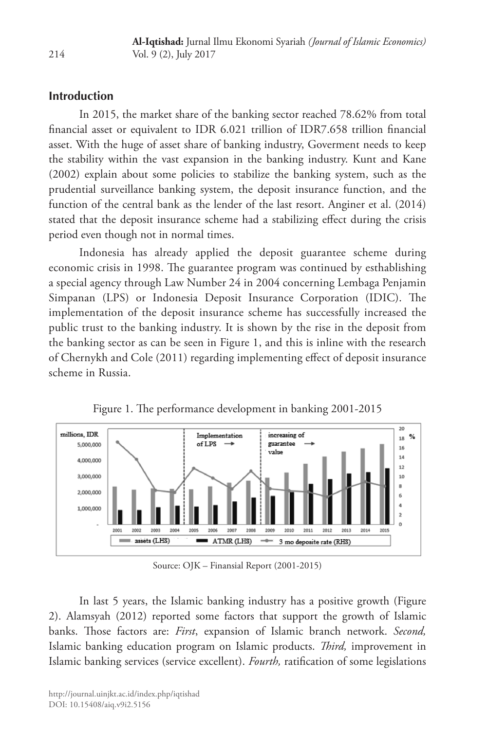# **Introduction**

In 2015, the market share of the banking sector reached 78.62% from total financial asset or equivalent to IDR 6.021 trillion of IDR7.658 trillion financial asset. With the huge of asset share of banking industry, Goverment needs to keep the stability within the vast expansion in the banking industry. Kunt and Kane (2002) explain about some policies to stabilize the banking system, such as the prudential surveillance banking system, the deposit insurance function, and the function of the central bank as the lender of the last resort. Anginer et al. (2014) stated that the deposit insurance scheme had a stabilizing effect during the crisis period even though not in normal times.

Indonesia has already applied the deposit guarantee scheme during economic crisis in 1998. The guarantee program was continued by esthablishing a special agency through Law Number 24 in 2004 concerning Lembaga Penjamin Simpanan (LPS) or Indonesia Deposit Insurance Corporation (IDIC). The implementation of the deposit insurance scheme has successfully increased the public trust to the banking industry. It is shown by the rise in the deposit from the banking sector as can be seen in Figure 1, and this is inline with the research of Chernykh and Cole (2011) regarding implementing effect of deposit insurance scheme in Russia.



Figure 1. The performance development in banking 2001-2015

Source: OJK – Finansial Report (2001-2015)

In last 5 years, the Islamic banking industry has a positive growth (Figure 2). Alamsyah (2012) reported some factors that support the growth of Islamic banks. Those factors are: *First*, expansion of Islamic branch network. *Second,*  Islamic banking education program on Islamic products. *Third,* improvement in Islamic banking services (service excellent). *Fourth,* ratification of some legislations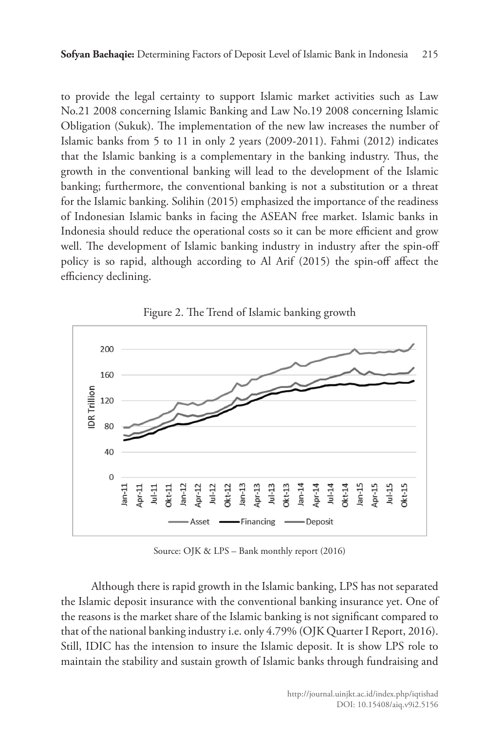to provide the legal certainty to support Islamic market activities such as Law No.21 2008 concerning Islamic Banking and Law No.19 2008 concerning Islamic Obligation (Sukuk). The implementation of the new law increases the number of Islamic banks from 5 to 11 in only 2 years (2009-2011). Fahmi (2012) indicates that the Islamic banking is a complementary in the banking industry. Thus, the growth in the conventional banking will lead to the development of the Islamic banking; furthermore, the conventional banking is not a substitution or a threat for the Islamic banking. Solihin (2015) emphasized the importance of the readiness of Indonesian Islamic banks in facing the ASEAN free market. Islamic banks in Indonesia should reduce the operational costs so it can be more efficient and grow well. The development of Islamic banking industry in industry after the spin-off policy is so rapid, although according to Al Arif (2015) the spin-off affect the efficiency declining.



Figure 2. The Trend of Islamic banking growth

Source: OJK & LPS – Bank monthly report (2016)

Although there is rapid growth in the Islamic banking, LPS has not separated the Islamic deposit insurance with the conventional banking insurance yet. One of the reasons is the market share of the Islamic banking is not significant compared to that of the national banking industry i.e. only 4.79% (OJK Quarter I Report, 2016). Still, IDIC has the intension to insure the Islamic deposit. It is show LPS role to maintain the stability and sustain growth of Islamic banks through fundraising and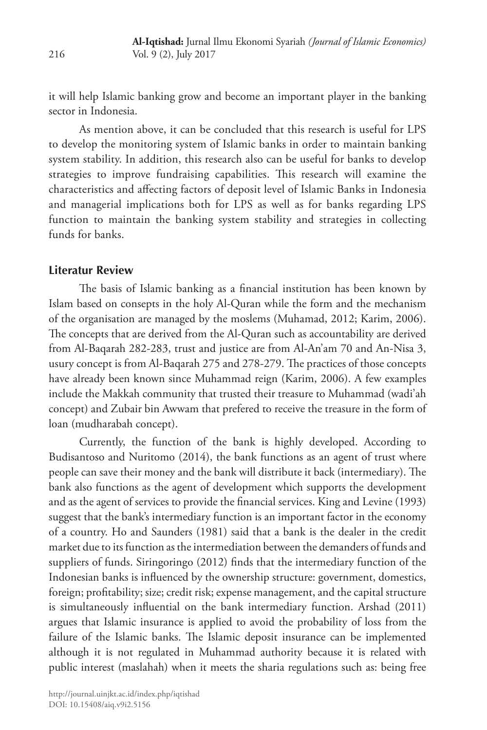it will help Islamic banking grow and become an important player in the banking sector in Indonesia.

As mention above, it can be concluded that this research is useful for LPS to develop the monitoring system of Islamic banks in order to maintain banking system stability. In addition, this research also can be useful for banks to develop strategies to improve fundraising capabilities. This research will examine the characteristics and affecting factors of deposit level of Islamic Banks in Indonesia and managerial implications both for LPS as well as for banks regarding LPS function to maintain the banking system stability and strategies in collecting funds for banks.

#### **Literatur Review**

The basis of Islamic banking as a financial institution has been known by Islam based on consepts in the holy Al-Quran while the form and the mechanism of the organisation are managed by the moslems (Muhamad, 2012; Karim, 2006). The concepts that are derived from the Al-Quran such as accountability are derived from Al-Baqarah 282-283, trust and justice are from Al-An'am 70 and An-Nisa 3, usury concept is from Al-Baqarah 275 and 278-279. The practices of those concepts have already been known since Muhammad reign (Karim, 2006). A few examples include the Makkah community that trusted their treasure to Muhammad (wadi'ah concept) and Zubair bin Awwam that prefered to receive the treasure in the form of loan (mudharabah concept).

Currently, the function of the bank is highly developed. According to Budisantoso and Nuritomo (2014), the bank functions as an agent of trust where people can save their money and the bank will distribute it back (intermediary). The bank also functions as the agent of development which supports the development and as the agent of services to provide the financial services. King and Levine (1993) suggest that the bank's intermediary function is an important factor in the economy of a country. Ho and Saunders (1981) said that a bank is the dealer in the credit market due to its function as the intermediation between the demanders of funds and suppliers of funds. Siringoringo (2012) finds that the intermediary function of the Indonesian banks is influenced by the ownership structure: government, domestics, foreign; profitability; size; credit risk; expense management, and the capital structure is simultaneously influential on the bank intermediary function. Arshad (2011) argues that Islamic insurance is applied to avoid the probability of loss from the failure of the Islamic banks. The Islamic deposit insurance can be implemented although it is not regulated in Muhammad authority because it is related with public interest (maslahah) when it meets the sharia regulations such as: being free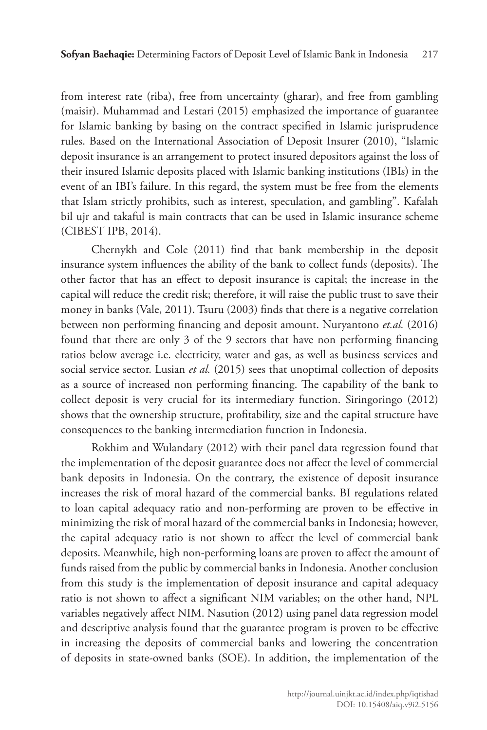from interest rate (riba), free from uncertainty (gharar), and free from gambling (maisir). Muhammad and Lestari (2015) emphasized the importance of guarantee for Islamic banking by basing on the contract specified in Islamic jurisprudence rules. Based on the International Association of Deposit Insurer (2010), "Islamic deposit insurance is an arrangement to protect insured depositors against the loss of their insured Islamic deposits placed with Islamic banking institutions (IBIs) in the event of an IBI's failure. In this regard, the system must be free from the elements that Islam strictly prohibits, such as interest, speculation, and gambling". Kafalah bil ujr and takaful is main contracts that can be used in Islamic insurance scheme (CIBEST IPB, 2014).

Chernykh and Cole (2011) find that bank membership in the deposit insurance system influences the ability of the bank to collect funds (deposits). The other factor that has an effect to deposit insurance is capital; the increase in the capital will reduce the credit risk; therefore, it will raise the public trust to save their money in banks (Vale, 2011). Tsuru (2003) finds that there is a negative correlation between non performing financing and deposit amount. Nuryantono *et.al.* (2016) found that there are only 3 of the 9 sectors that have non performing financing ratios below average i.e. electricity, water and gas, as well as business services and social service sector. Lusian *et al.* (2015) sees that unoptimal collection of deposits as a source of increased non performing financing. The capability of the bank to collect deposit is very crucial for its intermediary function. Siringoringo (2012) shows that the ownership structure, profitability, size and the capital structure have consequences to the banking intermediation function in Indonesia.

Rokhim and Wulandary (2012) with their panel data regression found that the implementation of the deposit guarantee does not affect the level of commercial bank deposits in Indonesia. On the contrary, the existence of deposit insurance increases the risk of moral hazard of the commercial banks. BI regulations related to loan capital adequacy ratio and non-performing are proven to be effective in minimizing the risk of moral hazard of the commercial banks in Indonesia; however, the capital adequacy ratio is not shown to affect the level of commercial bank deposits. Meanwhile, high non-performing loans are proven to affect the amount of funds raised from the public by commercial banks in Indonesia. Another conclusion from this study is the implementation of deposit insurance and capital adequacy ratio is not shown to affect a significant NIM variables; on the other hand, NPL variables negatively affect NIM. Nasution (2012) using panel data regression model and descriptive analysis found that the guarantee program is proven to be effective in increasing the deposits of commercial banks and lowering the concentration of deposits in state-owned banks (SOE). In addition, the implementation of the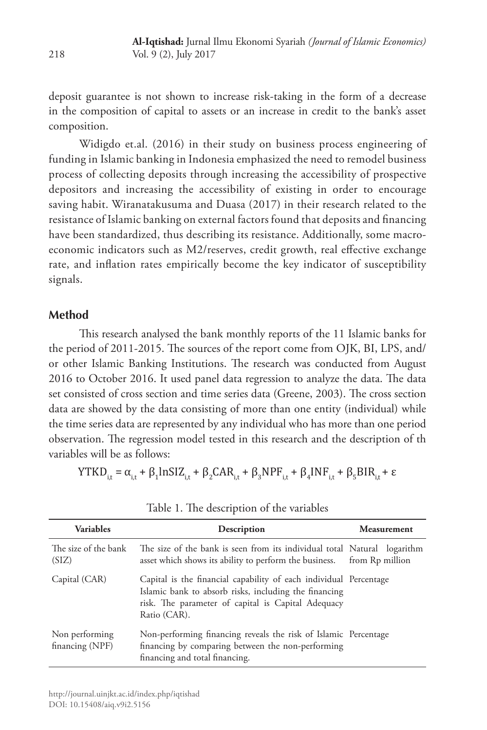deposit guarantee is not shown to increase risk-taking in the form of a decrease in the composition of capital to assets or an increase in credit to the bank's asset composition.

Widigdo et.al. (2016) in their study on business process engineering of funding in Islamic banking in Indonesia emphasized the need to remodel business process of collecting deposits through increasing the accessibility of prospective depositors and increasing the accessibility of existing in order to encourage saving habit. Wiranatakusuma and Duasa (2017) in their research related to the resistance of Islamic banking on external factors found that deposits and financing have been standardized, thus describing its resistance. Additionally, some macroeconomic indicators such as M2/reserves, credit growth, real effective exchange rate, and inflation rates empirically become the key indicator of susceptibility signals.

## **Method**

This research analysed the bank monthly reports of the 11 Islamic banks for the period of 2011-2015. The sources of the report come from OJK, BI, LPS, and/ or other Islamic Banking Institutions. The research was conducted from August 2016 to October 2016. It used panel data regression to analyze the data. The data set consisted of cross section and time series data (Greene, 2003). The cross section data are showed by the data consisting of more than one entity (individual) while the time series data are represented by any individual who has more than one period observation. The regression model tested in this research and the description of th variables will be as follows:

$$
YTKD_{i,t} = \alpha_{i,t} + \beta_1 lnSIZ_{i,t} + \beta_2 CAR_{i,t} + \beta_3 NPF_{i,t} + \beta_4 INF_{i,t} + \beta_5 BIR_{i,t} + \epsilon
$$

| <b>Variables</b>                  | Description                                                                                                                                                                                      | <b>Measurement</b> |
|-----------------------------------|--------------------------------------------------------------------------------------------------------------------------------------------------------------------------------------------------|--------------------|
| The size of the bank<br>(SIZ)     | The size of the bank is seen from its individual total Natural logarithm<br>asset which shows its ability to perform the business. from Rp million                                               |                    |
| Capital (CAR)                     | Capital is the financial capability of each individual Percentage<br>Islamic bank to absorb risks, including the financing<br>risk. The parameter of capital is Capital Adequacy<br>Ratio (CAR). |                    |
| Non performing<br>financing (NPF) | Non-performing financing reveals the risk of Islamic Percentage<br>financing by comparing between the non-performing<br>financing and total financing.                                           |                    |

|  |  | Table 1. The description of the variables |  |  |
|--|--|-------------------------------------------|--|--|
|--|--|-------------------------------------------|--|--|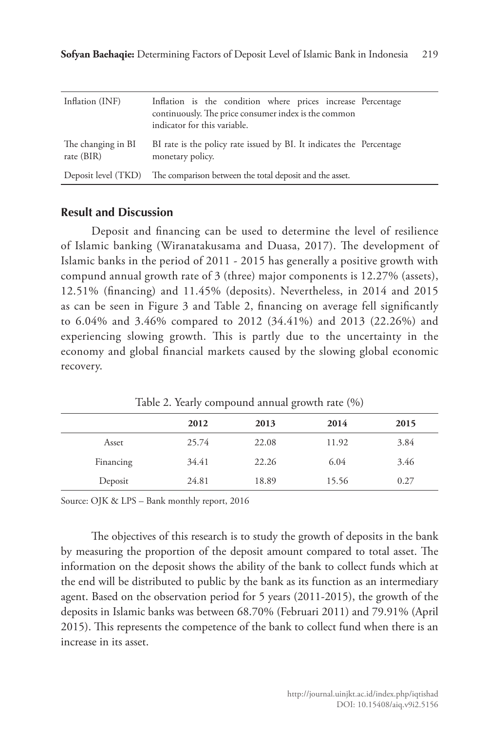| Inflation (INF)                  | Inflation is the condition where prices increase Percentage<br>continuously. The price consumer index is the common<br>indicator for this variable. |
|----------------------------------|-----------------------------------------------------------------------------------------------------------------------------------------------------|
| The changing in BI<br>rate (BIR) | BI rate is the policy rate issued by BI. It indicates the Percentage<br>monetary policy.                                                            |
| Deposit level (TKD)              | The comparison between the total deposit and the asset.                                                                                             |

### **Result and Discussion**

Deposit and financing can be used to determine the level of resilience of Islamic banking (Wiranatakusama and Duasa, 2017). The development of Islamic banks in the period of 2011 - 2015 has generally a positive growth with compund annual growth rate of 3 (three) major components is 12.27% (assets), 12.51% (financing) and 11.45% (deposits). Nevertheless, in 2014 and 2015 as can be seen in Figure 3 and Table 2, financing on average fell significantly to 6.04% and 3.46% compared to 2012 (34.41%) and 2013 (22.26%) and experiencing slowing growth. This is partly due to the uncertainty in the economy and global financial markets caused by the slowing global economic recovery.

|           | 2012  | 2013  | 2014  | 2015 |
|-----------|-------|-------|-------|------|
| Asset     | 25.74 | 22.08 | 11.92 | 3.84 |
| Financing | 34.41 | 22.26 | 6.04  | 3.46 |
| Deposit   | 24.81 | 18.89 | 15.56 | 0.27 |

Table 2. Yearly compound annual growth rate (%)

Source: OJK & LPS – Bank monthly report, 2016

The objectives of this research is to study the growth of deposits in the bank by measuring the proportion of the deposit amount compared to total asset. The information on the deposit shows the ability of the bank to collect funds which at the end will be distributed to public by the bank as its function as an intermediary agent. Based on the observation period for 5 years (2011-2015), the growth of the deposits in Islamic banks was between 68.70% (Februari 2011) and 79.91% (April 2015). This represents the competence of the bank to collect fund when there is an increase in its asset.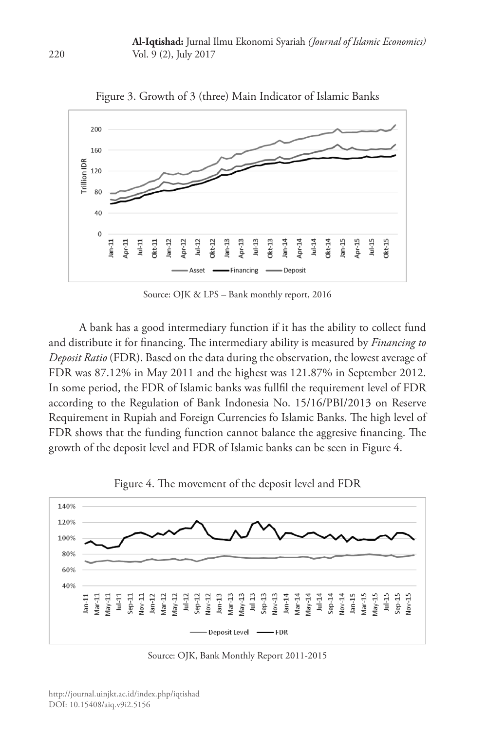

Figure 3. Growth of 3 (three) Main Indicator of Islamic Banks

Source: OJK & LPS – Bank monthly report, 2016

A bank has a good intermediary function if it has the ability to collect fund and distribute it for financing. The intermediary ability is measured by *Financing to Deposit Ratio* (FDR). Based on the data during the observation, the lowest average of FDR was 87.12% in May 2011 and the highest was 121.87% in September 2012. In some period, the FDR of Islamic banks was fullfil the requirement level of FDR according to the Regulation of Bank Indonesia No. 15/16/PBI/2013 on Reserve Requirement in Rupiah and Foreign Currencies fo Islamic Banks. The high level of FDR shows that the funding function cannot balance the aggresive financing. The growth of the deposit level and FDR of Islamic banks can be seen in Figure 4.



Figure 4. The movement of the deposit level and FDR

Source: OJK, Bank Monthly Report 2011-2015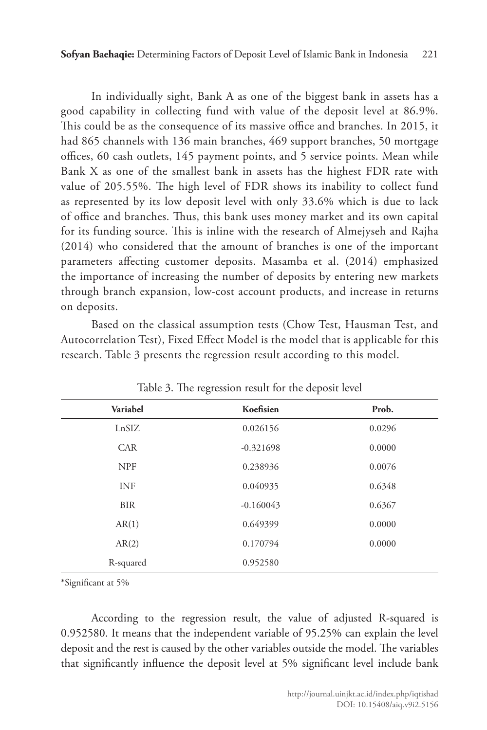In individually sight, Bank A as one of the biggest bank in assets has a good capability in collecting fund with value of the deposit level at 86.9%. This could be as the consequence of its massive office and branches. In 2015, it had 865 channels with 136 main branches, 469 support branches, 50 mortgage offices, 60 cash outlets, 145 payment points, and 5 service points. Mean while Bank X as one of the smallest bank in assets has the highest FDR rate with value of 205.55%. The high level of FDR shows its inability to collect fund as represented by its low deposit level with only 33.6% which is due to lack of office and branches. Thus, this bank uses money market and its own capital for its funding source. This is inline with the research of Almejyseh and Rajha (2014) who considered that the amount of branches is one of the important parameters affecting customer deposits. Masamba et al. (2014) emphasized the importance of increasing the number of deposits by entering new markets through branch expansion, low-cost account products, and increase in returns on deposits.

Based on the classical assumption tests (Chow Test, Hausman Test, and Autocorrelation Test), Fixed Effect Model is the model that is applicable for this research. Table 3 presents the regression result according to this model.

| Variabel   | Koefisien   | Prob.  |
|------------|-------------|--------|
| LnSIZ      | 0.026156    | 0.0296 |
| <b>CAR</b> | $-0.321698$ | 0.0000 |
| <b>NPF</b> | 0.238936    | 0.0076 |
| <b>INF</b> | 0.040935    | 0.6348 |
| <b>BIR</b> | $-0.160043$ | 0.6367 |
| AR(1)      | 0.649399    | 0.0000 |
| AR(2)      | 0.170794    | 0.0000 |
| R-squared  | 0.952580    |        |

Table 3. The regression result for the deposit level

\*Significant at 5%

According to the regression result, the value of adjusted R-squared is 0.952580. It means that the independent variable of 95.25% can explain the level deposit and the rest is caused by the other variables outside the model. The variables that significantly influence the deposit level at 5% significant level include bank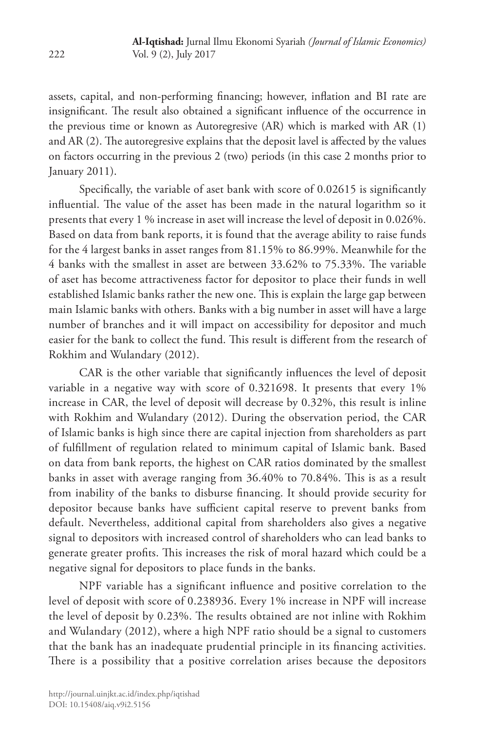assets, capital, and non-performing financing; however, inflation and BI rate are insignificant. The result also obtained a significant influence of the occurrence in the previous time or known as Autoregresive (AR) which is marked with AR (1) and AR (2). The autoregresive explains that the deposit lavel is affected by the values on factors occurring in the previous 2 (two) periods (in this case 2 months prior to January 2011).

Specifically, the variable of aset bank with score of 0.02615 is significantly influential. The value of the asset has been made in the natural logarithm so it presents that every 1 % increase in aset will increase the level of deposit in 0.026%. Based on data from bank reports, it is found that the average ability to raise funds for the 4 largest banks in asset ranges from 81.15% to 86.99%. Meanwhile for the 4 banks with the smallest in asset are between 33.62% to 75.33%. The variable of aset has become attractiveness factor for depositor to place their funds in well established Islamic banks rather the new one. This is explain the large gap between main Islamic banks with others. Banks with a big number in asset will have a large number of branches and it will impact on accessibility for depositor and much easier for the bank to collect the fund. This result is different from the research of Rokhim and Wulandary (2012).

CAR is the other variable that significantly influences the level of deposit variable in a negative way with score of 0.321698. It presents that every 1% increase in CAR, the level of deposit will decrease by 0.32%, this result is inline with Rokhim and Wulandary (2012). During the observation period, the CAR of Islamic banks is high since there are capital injection from shareholders as part of fulfillment of regulation related to minimum capital of Islamic bank. Based on data from bank reports, the highest on CAR ratios dominated by the smallest banks in asset with average ranging from 36.40% to 70.84%. This is as a result from inability of the banks to disburse financing. It should provide security for depositor because banks have sufficient capital reserve to prevent banks from default. Nevertheless, additional capital from shareholders also gives a negative signal to depositors with increased control of shareholders who can lead banks to generate greater profits. This increases the risk of moral hazard which could be a negative signal for depositors to place funds in the banks.

NPF variable has a significant influence and positive correlation to the level of deposit with score of 0.238936. Every 1% increase in NPF will increase the level of deposit by 0.23%. The results obtained are not inline with Rokhim and Wulandary (2012), where a high NPF ratio should be a signal to customers that the bank has an inadequate prudential principle in its financing activities. There is a possibility that a positive correlation arises because the depositors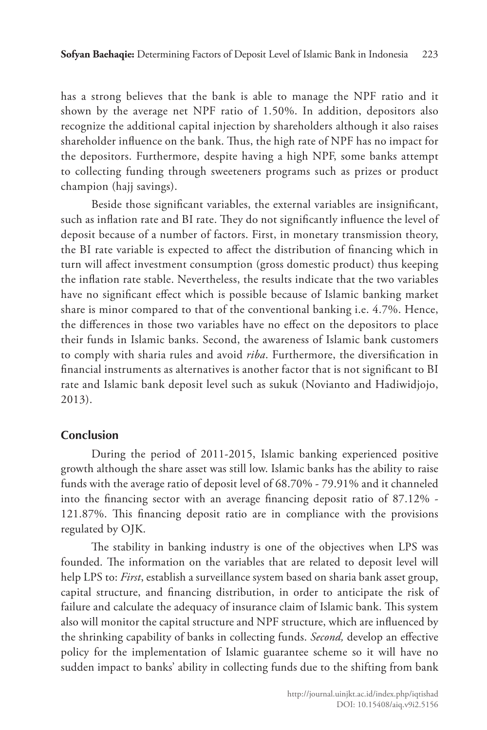has a strong believes that the bank is able to manage the NPF ratio and it shown by the average net NPF ratio of 1.50%. In addition, depositors also recognize the additional capital injection by shareholders although it also raises shareholder influence on the bank. Thus, the high rate of NPF has no impact for the depositors. Furthermore, despite having a high NPF, some banks attempt to collecting funding through sweeteners programs such as prizes or product champion (hajj savings).

Beside those significant variables, the external variables are insignificant, such as inflation rate and BI rate. They do not significantly influence the level of deposit because of a number of factors. First, in monetary transmission theory, the BI rate variable is expected to affect the distribution of financing which in turn will affect investment consumption (gross domestic product) thus keeping the inflation rate stable. Nevertheless, the results indicate that the two variables have no significant effect which is possible because of Islamic banking market share is minor compared to that of the conventional banking i.e. 4.7%. Hence, the differences in those two variables have no effect on the depositors to place their funds in Islamic banks. Second, the awareness of Islamic bank customers to comply with sharia rules and avoid *riba*. Furthermore, the diversification in financial instruments as alternatives is another factor that is not significant to BI rate and Islamic bank deposit level such as sukuk (Novianto and Hadiwidjojo, 2013).

#### **Conclusion**

During the period of 2011-2015, Islamic banking experienced positive growth although the share asset was still low. Islamic banks has the ability to raise funds with the average ratio of deposit level of 68.70% - 79.91% and it channeled into the financing sector with an average financing deposit ratio of 87.12% - 121.87%. This financing deposit ratio are in compliance with the provisions regulated by OJK.

The stability in banking industry is one of the objectives when LPS was founded. The information on the variables that are related to deposit level will help LPS to: *First*, establish a surveillance system based on sharia bank asset group, capital structure, and financing distribution, in order to anticipate the risk of failure and calculate the adequacy of insurance claim of Islamic bank. This system also will monitor the capital structure and NPF structure, which are influenced by the shrinking capability of banks in collecting funds. *Second,* develop an effective policy for the implementation of Islamic guarantee scheme so it will have no sudden impact to banks' ability in collecting funds due to the shifting from bank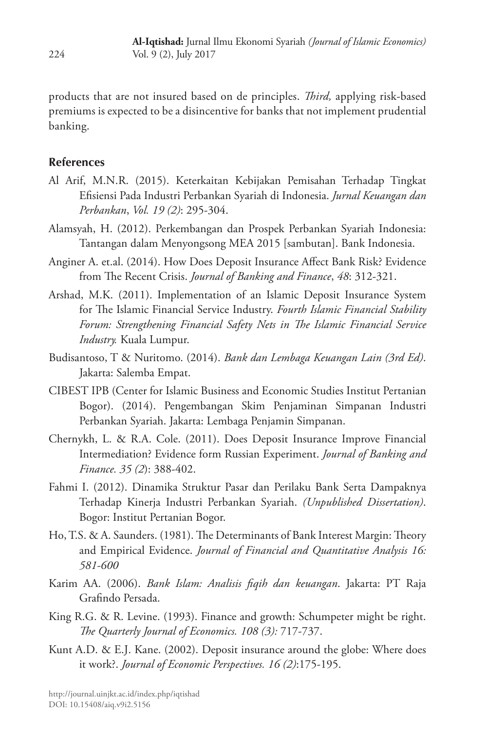products that are not insured based on de principles. *Third,* applying risk-based premiums is expected to be a disincentive for banks that not implement prudential banking.

# **References**

- Al Arif, M.N.R. (2015). Keterkaitan Kebijakan Pemisahan Terhadap Tingkat Efisiensi Pada Industri Perbankan Syariah di Indonesia. *Jurnal Keuangan dan Perbankan*, *Vol. 19 (2)*: 295-304.
- Alamsyah, H. (2012). Perkembangan dan Prospek Perbankan Syariah Indonesia: Tantangan dalam Menyongsong MEA 2015 [sambutan]. Bank Indonesia.
- Anginer A. et.al. (2014). How Does Deposit Insurance Affect Bank Risk? Evidence from The Recent Crisis. *Journal of Banking and Finance*, *48*: 312-321.
- Arshad, M.K. (2011). Implementation of an Islamic Deposit Insurance System for The Islamic Financial Service Industry. *Fourth Islamic Financial Stability Forum: Strengthening Financial Safety Nets in The Islamic Financial Service Industry.* Kuala Lumpur.
- Budisantoso, T & Nuritomo. (2014). *Bank dan Lembaga Keuangan Lain (3rd Ed)*. Jakarta: Salemba Empat.
- CIBEST IPB (Center for Islamic Business and Economic Studies Institut Pertanian Bogor). (2014). Pengembangan Skim Penjaminan Simpanan Industri Perbankan Syariah. Jakarta: Lembaga Penjamin Simpanan.
- Chernykh, L. & R.A. Cole. (2011). Does Deposit Insurance Improve Financial Intermediation? Evidence form Russian Experiment. *Journal of Banking and Finance. 35 (2*): 388-402.
- Fahmi I. (2012). Dinamika Struktur Pasar dan Perilaku Bank Serta Dampaknya Terhadap Kinerja Industri Perbankan Syariah. *(Unpublished Dissertation)*. Bogor: Institut Pertanian Bogor.
- Ho, T.S. & A. Saunders. (1981). The Determinants of Bank Interest Margin: Theory and Empirical Evidence. *Journal of Financial and Quantitative Analysis 16: 581-600*
- Karim AA. (2006). *Bank Islam: Analisis fiqih dan keuangan*. Jakarta: PT Raja Grafindo Persada.
- King R.G. & R. Levine. (1993). Finance and growth: Schumpeter might be right. *The Quarterly Journal of Economics. 108 (3):* 717-737.
- Kunt A.D. & E.J. Kane. (2002). Deposit insurance around the globe: Where does it work?. *Journal of Economic Perspectives. 16 (2)*:175-195.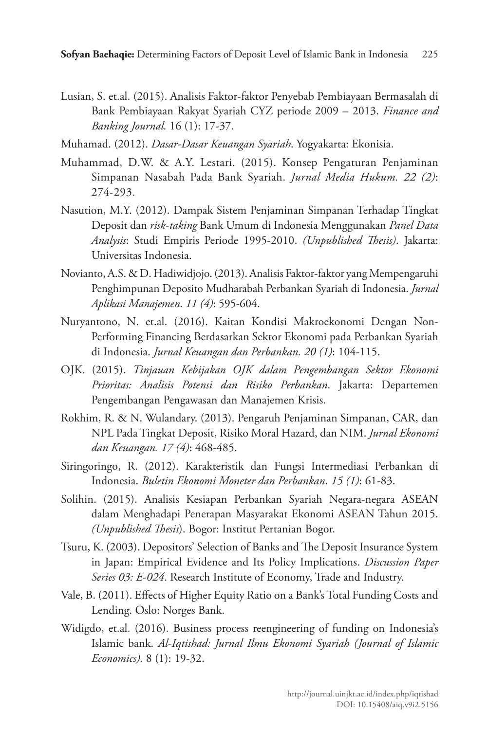- Lusian, S. et.al. (2015). Analisis Faktor-faktor Penyebab Pembiayaan Bermasalah di Bank Pembiayaan Rakyat Syariah CYZ periode 2009 – 2013. *Finance and Banking Journal.* 16 (1): 17-37.
- Muhamad. (2012). *Dasar-Dasar Keuangan Syariah*. Yogyakarta: Ekonisia.
- Muhammad, D.W. & A.Y. Lestari. (2015). Konsep Pengaturan Penjaminan Simpanan Nasabah Pada Bank Syariah. *Jurnal Media Hukum. 22 (2)*: 274-293.
- Nasution, M.Y. (2012). Dampak Sistem Penjaminan Simpanan Terhadap Tingkat Deposit dan *risk-taking* Bank Umum di Indonesia Menggunakan *Panel Data Analysis*: Studi Empiris Periode 1995-2010. *(Unpublished Thesis)*. Jakarta: Universitas Indonesia.
- Novianto, A.S. & D. Hadiwidjojo. (2013). Analisis Faktor-faktor yang Mempengaruhi Penghimpunan Deposito Mudharabah Perbankan Syariah di Indonesia. *Jurnal Aplikasi Manajemen*. *11 (4)*: 595-604.
- Nuryantono, N. et.al. (2016). Kaitan Kondisi Makroekonomi Dengan Non-Performing Financing Berdasarkan Sektor Ekonomi pada Perbankan Syariah di Indonesia. *Jurnal Keuangan dan Perbankan. 20 (1)*: 104-115.
- OJK. (2015). *Tinjauan Kebijakan OJK dalam Pengembangan Sektor Ekonomi Prioritas: Analisis Potensi dan Risiko Perbankan*. Jakarta: Departemen Pengembangan Pengawasan dan Manajemen Krisis.
- Rokhim, R. & N. Wulandary. (2013). Pengaruh Penjaminan Simpanan, CAR, dan NPL Pada Tingkat Deposit, Risiko Moral Hazard, dan NIM. *Jurnal Ekonomi dan Keuangan. 17 (4)*: 468-485.
- Siringoringo, R. (2012). Karakteristik dan Fungsi Intermediasi Perbankan di Indonesia. *Buletin Ekonomi Moneter dan Perbankan*. *15 (1)*: 61-83.
- Solihin. (2015). Analisis Kesiapan Perbankan Syariah Negara-negara ASEAN dalam Menghadapi Penerapan Masyarakat Ekonomi ASEAN Tahun 2015. *(Unpublished Thesis*). Bogor: Institut Pertanian Bogor.
- Tsuru, K. (2003). Depositors' Selection of Banks and The Deposit Insurance System in Japan: Empirical Evidence and Its Policy Implications. *Discussion Paper Series 03: E-024*. Research Institute of Economy, Trade and Industry.
- Vale, B. (2011). Effects of Higher Equity Ratio on a Bank's Total Funding Costs and Lending. Oslo: Norges Bank.
- Widigdo, et.al. (2016). Business process reengineering of funding on Indonesia's Islamic bank. *Al-Iqtishad: Jurnal Ilmu Ekonomi Syariah (Journal of Islamic Economics).* 8 (1): 19-32.